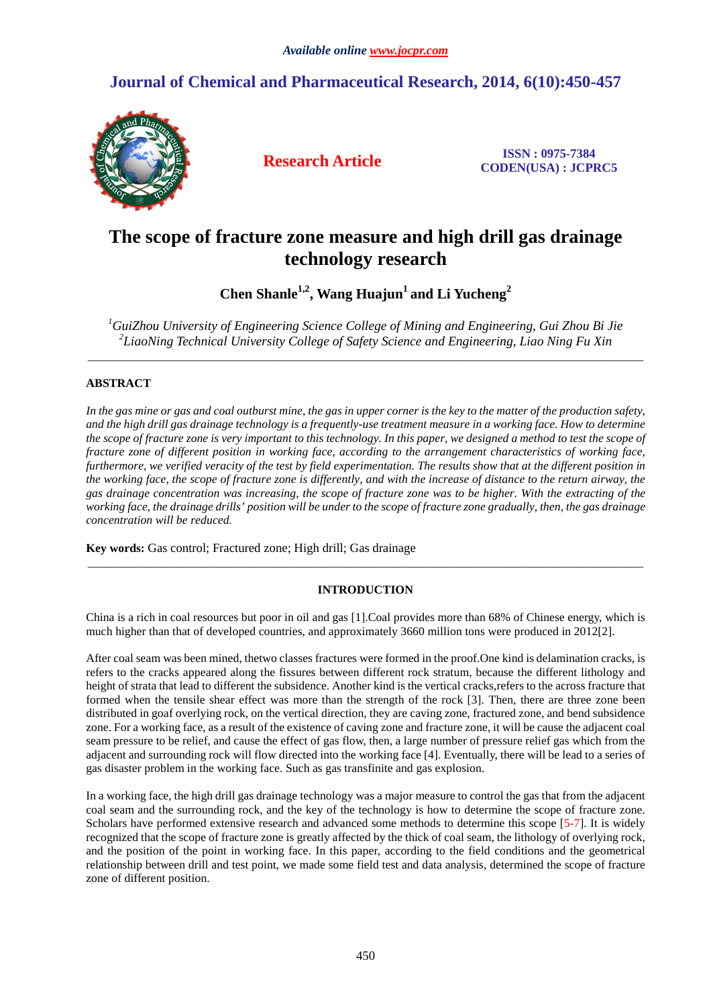# **Journal of Chemical and Pharmaceutical Research, 2014, 6(10):450-457**



**Research Article ISSN : 0975-7384 CODEN(USA) : JCPRC5**

# **The scope of fracture zone measure and high drill gas drainage technology research**

**Chen Shanle1,2, Wang Huajun<sup>1</sup>and Li Yucheng<sup>2</sup>**

*<sup>1</sup>GuiZhou University of Engineering Science College of Mining and Engineering, Gui Zhou Bi Jie 2 LiaoNing Technical University College of Safety Science and Engineering, Liao Ning Fu Xin*  \_\_\_\_\_\_\_\_\_\_\_\_\_\_\_\_\_\_\_\_\_\_\_\_\_\_\_\_\_\_\_\_\_\_\_\_\_\_\_\_\_\_\_\_\_\_\_\_\_\_\_\_\_\_\_\_\_\_\_\_\_\_\_\_\_\_\_\_\_\_\_\_\_\_\_\_\_\_\_\_\_\_\_\_\_\_\_\_\_\_\_\_\_

# **ABSTRACT**

*In the gas mine or gas and coal outburst mine, the gas in upper corner is the key to the matter of the production safety, and the high drill gas drainage technology is a frequently-use treatment measure in a working face. How to determine the scope of fracture zone is very important to this technology. In this paper, we designed a method to test the scope of fracture zone of different position in working face, according to the arrangement characteristics of working face, furthermore, we verified veracity of the test by field experimentation. The results show that at the different position in the working face, the scope of fracture zone is differently, and with the increase of distance to the return airway, the gas drainage concentration was increasing, the scope of fracture zone was to be higher. With the extracting of the working face, the drainage drills' position will be under to the scope of fracture zone gradually, then, the gas drainage concentration will be reduced.* 

**Key words:** Gas control; Fractured zone; High drill; Gas drainage

# **INTRODUCTION**

\_\_\_\_\_\_\_\_\_\_\_\_\_\_\_\_\_\_\_\_\_\_\_\_\_\_\_\_\_\_\_\_\_\_\_\_\_\_\_\_\_\_\_\_\_\_\_\_\_\_\_\_\_\_\_\_\_\_\_\_\_\_\_\_\_\_\_\_\_\_\_\_\_\_\_\_\_\_\_\_\_\_\_\_\_\_\_\_\_\_\_\_\_

China is a rich in coal resources but poor in oil and gas [1].Coal provides more than 68% of Chinese energy, which is much higher than that of developed countries, and approximately 3660 million tons were produced in 2012[2].

After coal seam was been mined, thetwo classes fractures were formed in the proof.One kind is delamination cracks, is refers to the cracks appeared along the fissures between different rock stratum, because the different lithology and height of strata that lead to different the subsidence. Another kind is the vertical cracks,refers to the across fracture that formed when the tensile shear effect was more than the strength of the rock [3]. Then, there are three zone been distributed in goaf overlying rock, on the vertical direction, they are caving zone, fractured zone, and bend subsidence zone. For a working face, as a result of the existence of caving zone and fracture zone, it will be cause the adjacent coal seam pressure to be relief, and cause the effect of gas flow, then, a large number of pressure relief gas which from the adjacent and surrounding rock will flow directed into the working face [4]. Eventually, there will be lead to a series of gas disaster problem in the working face. Such as gas transfinite and gas explosion.

In a working face, the high drill gas drainage technology was a major measure to control the gas that from the adjacent coal seam and the surrounding rock, and the key of the technology is how to determine the scope of fracture zone. Scholars have performed extensive research and advanced some methods to determine this scope [5-7]. It is widely recognized that the scope of fracture zone is greatly affected by the thick of coal seam, the lithology of overlying rock, and the position of the point in working face. In this paper, according to the field conditions and the geometrical relationship between drill and test point, we made some field test and data analysis, determined the scope of fracture zone of different position.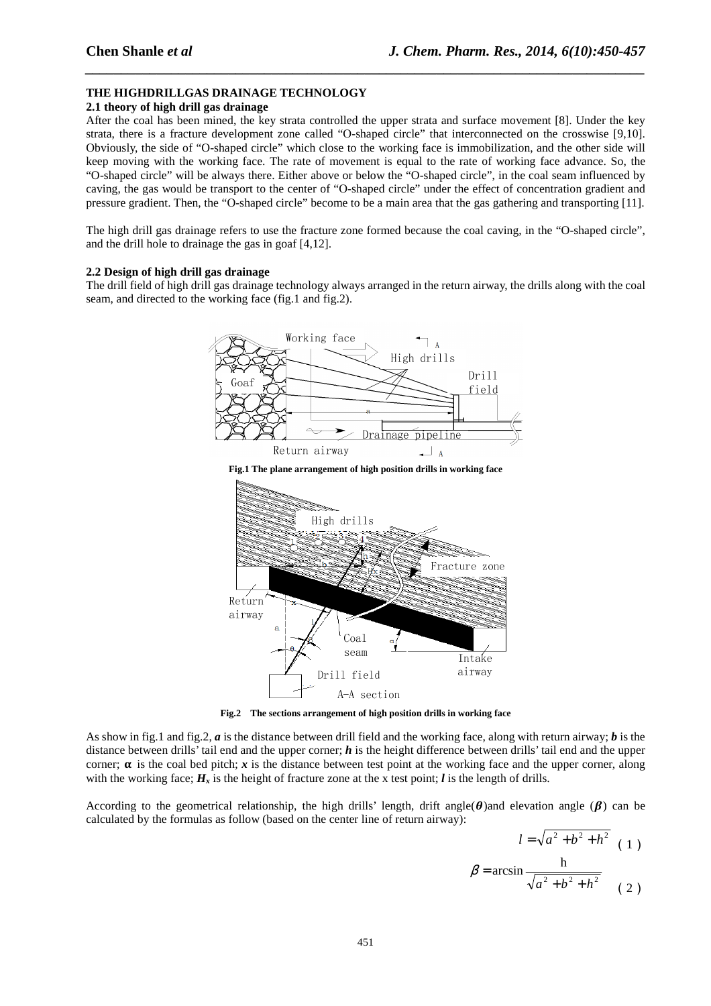# **THE HIGHDRILLGAS DRAINAGE TECHNOLOGY**

# **2.1 theory of high drill gas drainage**

After the coal has been mined, the key strata controlled the upper strata and surface movement [8]. Under the key strata, there is a fracture development zone called "O-shaped circle" that interconnected on the crosswise [9,10]. Obviously, the side of "O-shaped circle" which close to the working face is immobilization, and the other side will keep moving with the working face. The rate of movement is equal to the rate of working face advance. So, the "O-shaped circle" will be always there. Either above or below the "O-shaped circle", in the coal seam influenced by caving, the gas would be transport to the center of "O-shaped circle" under the effect of concentration gradient and pressure gradient. Then, the "O-shaped circle" become to be a main area that the gas gathering and transporting [11].

*\_\_\_\_\_\_\_\_\_\_\_\_\_\_\_\_\_\_\_\_\_\_\_\_\_\_\_\_\_\_\_\_\_\_\_\_\_\_\_\_\_\_\_\_\_\_\_\_\_\_\_\_\_\_\_\_\_\_\_\_\_\_\_\_\_\_\_\_\_\_\_\_\_\_\_\_\_\_*

The high drill gas drainage refers to use the fracture zone formed because the coal caving, in the "O-shaped circle", and the drill hole to drainage the gas in goaf [4,12].

## **2.2 Design of high drill gas drainage**

The drill field of high drill gas drainage technology always arranged in the return airway, the drills along with the coal seam, and directed to the working face (fig.1 and fig.2).



**Fig.2 The sections arrangement of high position drills in working face** 

As show in fig.1 and fig.2, *a* is the distance between drill field and the working face, along with return airway; *b* is the distance between drills' tail end and the upper corner; *h* is the height difference between drills' tail end and the upper corner;  $\alpha$  is the coal bed pitch; *x* is the distance between test point at the working face and the upper corner, along with the working face;  $H_x$  is the height of fracture zone at the x test point; *l* is the length of drills.

According to the geometrical relationship, the high drills' length, drift angle( $\theta$ ) and elevation angle ( $\beta$ ) can be calculated by the formulas as follow (based on the center line of return airway):

$$
l = \sqrt{a^2 + b^2 + h^2} \quad (1)
$$

$$
\beta = \arcsin \frac{h}{\sqrt{a^2 + b^2 + h^2}}
$$
 (2)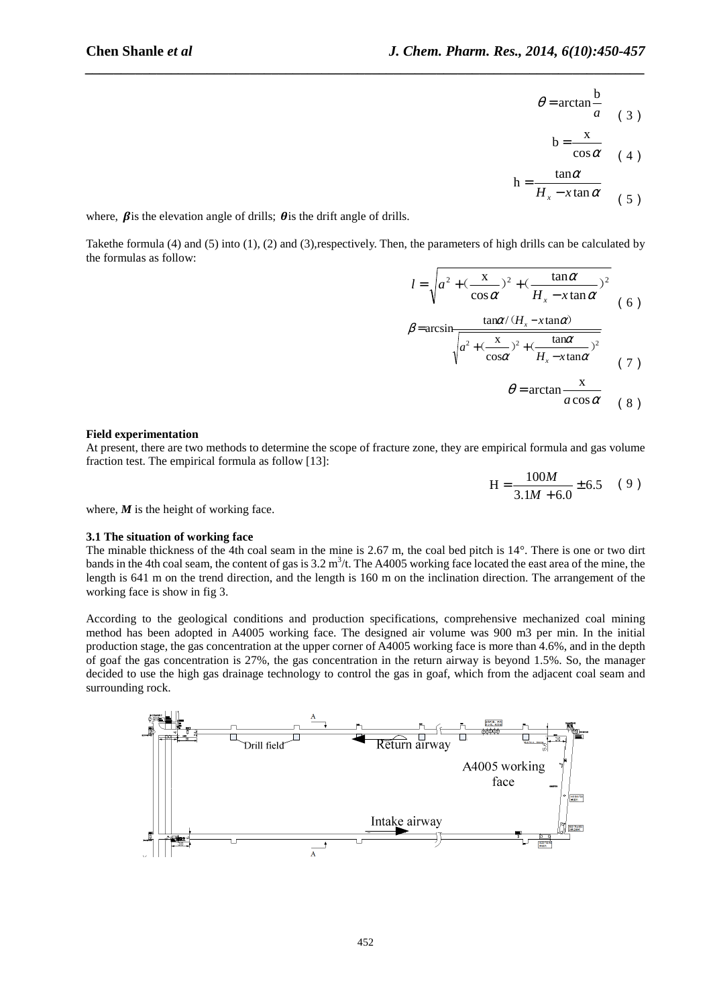$\theta$ 

$$
= \arctan \frac{b}{a} \qquad (3)
$$

$$
b = \frac{x}{\cos \alpha} \quad (4)
$$

$$
h = \frac{\tan \alpha}{H_x - x \tan \alpha} \qquad (5)
$$

where,  $\beta$  is the elevation angle of drills;  $\theta$  is the drift angle of drills.

Takethe formula (4) and (5) into (1), (2) and (3),respectively. Then, the parameters of high drills can be calculated by the formulas as follow:

β

*\_\_\_\_\_\_\_\_\_\_\_\_\_\_\_\_\_\_\_\_\_\_\_\_\_\_\_\_\_\_\_\_\_\_\_\_\_\_\_\_\_\_\_\_\_\_\_\_\_\_\_\_\_\_\_\_\_\_\_\_\_\_\_\_\_\_\_\_\_\_\_\_\_\_\_\_\_\_*

$$
l = \sqrt{a^2 + (\frac{x}{\cos \alpha})^2 + (\frac{\tan \alpha}{H_x - x \tan \alpha})^2}
$$
  

$$
\tan \alpha / (H_x - x \tan \alpha)
$$
 (6)

$$
= \arcsin \frac{\tan x / (\tan x)}{\sqrt{a^2 + (\frac{x}{\cos \alpha})^2 + (\frac{\tan \alpha}{H_x} - x \tan \alpha)^2}}
$$
(7)

$$
\theta = \arctan \frac{x}{a \cos \alpha} \quad (8)
$$

#### **Field experimentation**

At present, there are two methods to determine the scope of fracture zone, they are empirical formula and gas volume fraction test. The empirical formula as follow [13]:

$$
H = \frac{100M}{3.1M + 6.0} \pm 6.5 \quad (9)
$$

where,  $M$  is the height of working face.

#### **3.1 The situation of working face**

The minable thickness of the 4th coal seam in the mine is 2.67 m, the coal bed pitch is  $14^{\circ}$ . There is one or two dirt bands in the 4th coal seam, the content of gas is  $3.2 \text{ m}^3$ /t. The A4005 working face located the east area of the mine, the length is 641 m on the trend direction, and the length is 160 m on the inclination direction. The arrangement of the working face is show in fig 3.

According to the geological conditions and production specifications, comprehensive mechanized coal mining method has been adopted in A4005 working face. The designed air volume was 900 m3 per min. In the initial production stage, the gas concentration at the upper corner of A4005 working face is more than 4.6%, and in the depth of goaf the gas concentration is 27%, the gas concentration in the return airway is beyond 1.5%. So, the manager decided to use the high gas drainage technology to control the gas in goaf, which from the adjacent coal seam and surrounding rock.

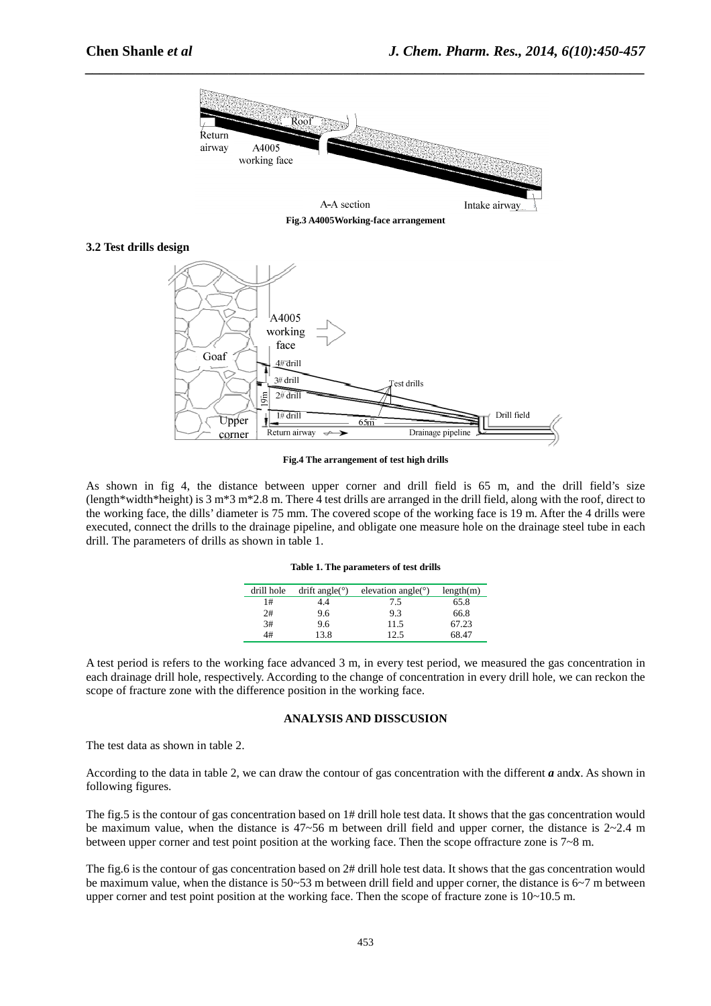

*\_\_\_\_\_\_\_\_\_\_\_\_\_\_\_\_\_\_\_\_\_\_\_\_\_\_\_\_\_\_\_\_\_\_\_\_\_\_\_\_\_\_\_\_\_\_\_\_\_\_\_\_\_\_\_\_\_\_\_\_\_\_\_\_\_\_\_\_\_\_\_\_\_\_\_\_\_\_*

**Fig.3 A4005Working-face arrangement** 

## **3.2 Test drills design**



**Fig.4 The arrangement of test high drills** 

As shown in fig 4, the distance between upper corner and drill field is 65 m, and the drill field's size (length\*width\*height) is 3 m\*3 m\*2.8 m. There 4 test drills are arranged in the drill field, along with the roof, direct to the working face, the dills' diameter is 75 mm. The covered scope of the working face is 19 m. After the 4 drills were executed, connect the drills to the drainage pipeline, and obligate one measure hole on the drainage steel tube in each drill. The parameters of drills as shown in table 1.

|  |  | Table 1. The parameters of test drills |  |  |  |
|--|--|----------------------------------------|--|--|--|
|--|--|----------------------------------------|--|--|--|

| drill hole | drift angle( $\degree$ ) | elevation angle( $\degree$ ) | length(m) |
|------------|--------------------------|------------------------------|-----------|
| 1#         | 1.4                      | 7.5                          | 65.8      |
| 2#         | 9.6                      | 9.3                          | 66.8      |
| 3#         | 9.6                      | 11.5                         | 67.23     |
| 4#         | 13.8                     | っち                           | 68.47     |

A test period is refers to the working face advanced 3 m, in every test period, we measured the gas concentration in each drainage drill hole, respectively. According to the change of concentration in every drill hole, we can reckon the scope of fracture zone with the difference position in the working face.

## **ANALYSIS AND DISSCUSION**

The test data as shown in table 2.

According to the data in table 2, we can draw the contour of gas concentration with the different *a* and*x*. As shown in following figures.

The fig.5 is the contour of gas concentration based on 1# drill hole test data. It shows that the gas concentration would be maximum value, when the distance is  $47 \sim 56$  m between drill field and upper corner, the distance is  $2 \sim 2.4$  m between upper corner and test point position at the working face. Then the scope offracture zone is 7~8 m.

The fig.6 is the contour of gas concentration based on 2# drill hole test data. It shows that the gas concentration would be maximum value, when the distance is 50~53 m between drill field and upper corner, the distance is 6~7 m between upper corner and test point position at the working face. Then the scope of fracture zone is  $10 \sim 10.5$  m.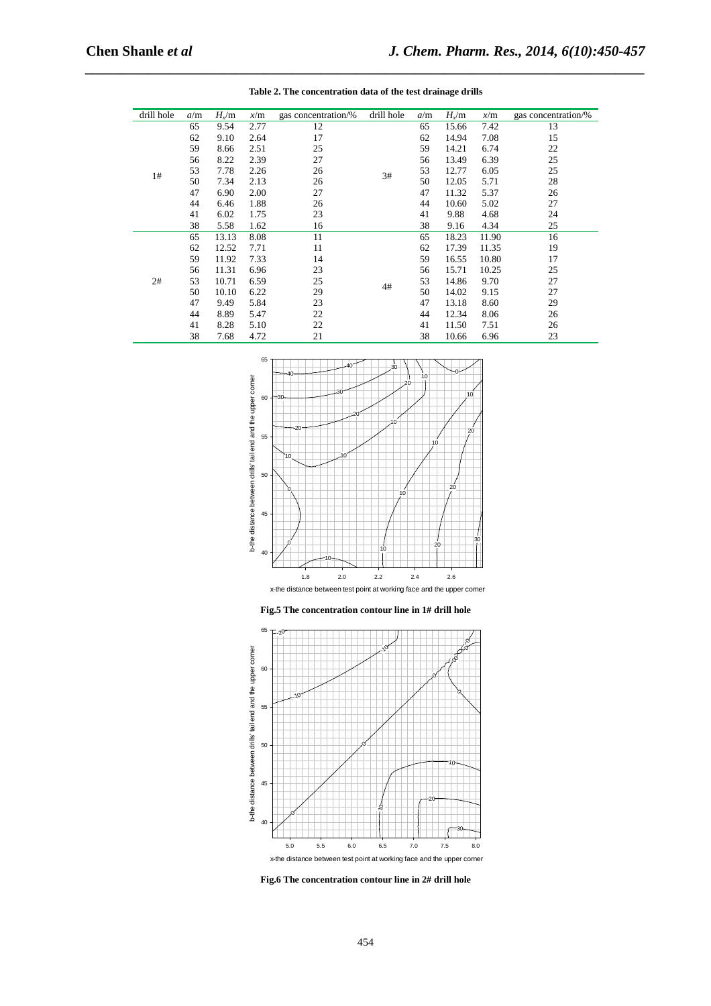| drill hole | a/m | $H_v/m$            | x/m        | gas concentration/% | drill hole | a/m   | $H_{\rm x}/\rm m$ | x/m   | gas concentration/% |
|------------|-----|--------------------|------------|---------------------|------------|-------|-------------------|-------|---------------------|
|            | 65  | 2.77<br>12<br>9.54 |            | 65                  | 15.66      | 7.42  | 13                |       |                     |
|            | 62  | 9.10               | 2.64       | 17                  | 3#         | 62    | 14.94             | 7.08  | 15                  |
|            | 59  | 8.66               | 2.51       | 25                  |            | 59    | 14.21             | 6.74  | 22                  |
|            | 56  | 8.22               | 2.39       | 27                  |            | 56    | 13.49             | 6.39  | 25                  |
|            | 53  | 7.78               | 2.26       | 26                  |            | 53    | 12.77             | 6.05  | 25                  |
| 1#         | 50  | 7.34               | 2.13       | 26                  |            | 50    | 12.05             | 5.71  | 28                  |
|            | 47  | 6.90               | 2.00       | 27                  |            | 47    | 11.32             | 5.37  | 26                  |
|            | 44  | 6.46               | 1.88       | 26                  |            | 44    | 10.60             | 5.02  | 27                  |
|            | 41  | 6.02               | 1.75       | 23                  |            | 41    | 9.88              | 4.68  | 24                  |
|            | 38  | 5.58               | 1.62       | 16                  |            | 38    | 9.16              | 4.34  | 25                  |
|            | 65  | 13.13              | 8.08       | 11                  |            | 65    | 18.23             | 11.90 | 16                  |
|            | 62  | 12.52              | 7.71       | 11                  | 4#         | 62    | 17.39             | 11.35 | 19                  |
|            | 59  | 11.92              | 7.33       | 14                  |            | 59    | 16.55             | 10.80 | 17                  |
|            | 56  | 11.31              | 6.96       | 23                  |            | 56    | 15.71             | 10.25 | 25                  |
| 2#         | 53  | 10.71              | 6.59       | 25                  |            | 53    | 14.86             | 9.70  | 27                  |
|            | 50  | 10.10              | 6.22       | 29                  |            | 50    | 14.02             | 9.15  | 27                  |
|            | 47  | 9.49               | 5.84       | 23                  |            | 47    | 13.18             | 8.60  | 29                  |
|            | 44  | 8.89               | 5.47       | 22                  |            | 44    | 12.34             | 8.06  | 26                  |
|            | 41  | 8.28               | 22<br>5.10 |                     | 41         | 11.50 | 7.51              | 26    |                     |
|            | 38  | 7.68               | 4.72       | 21                  |            | 38    | 10.66             | 6.96  | 23                  |



**Fig.5 The concentration contour line in 1# drill hole** 



**Fig.6 The concentration contour line in 2# drill hole** 

454

*\_\_\_\_\_\_\_\_\_\_\_\_\_\_\_\_\_\_\_\_\_\_\_\_\_\_\_\_\_\_\_\_\_\_\_\_\_\_\_\_\_\_\_\_\_\_\_\_\_\_\_\_\_\_\_\_\_\_\_\_\_\_\_\_\_\_\_\_\_\_\_\_\_\_\_\_\_\_*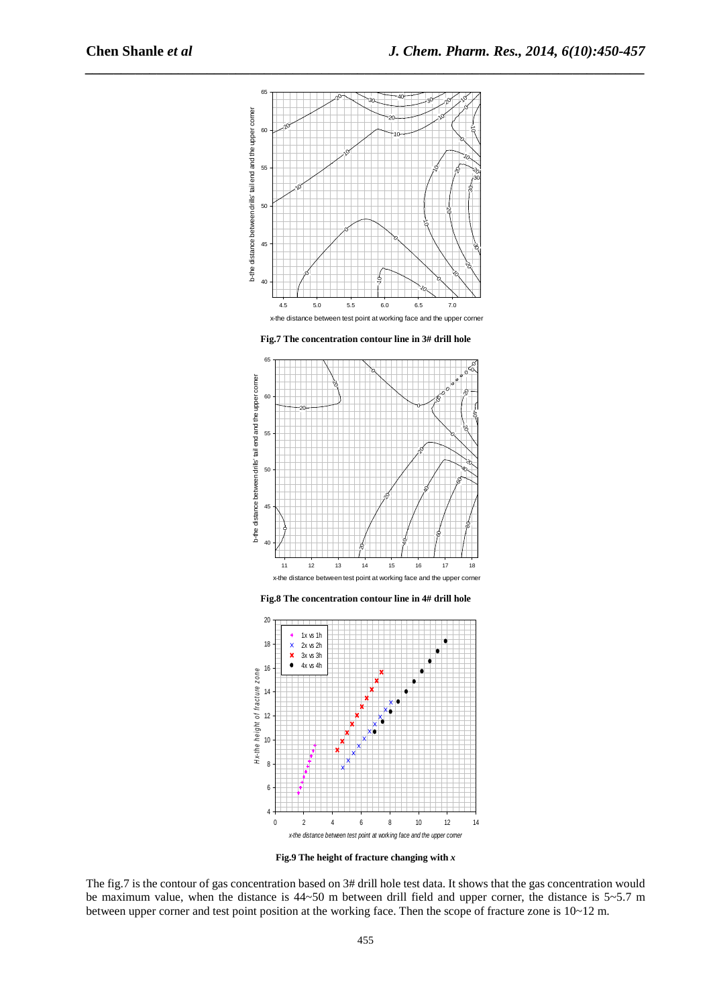

*\_\_\_\_\_\_\_\_\_\_\_\_\_\_\_\_\_\_\_\_\_\_\_\_\_\_\_\_\_\_\_\_\_\_\_\_\_\_\_\_\_\_\_\_\_\_\_\_\_\_\_\_\_\_\_\_\_\_\_\_\_\_\_\_\_\_\_\_\_\_\_\_\_\_\_\_\_\_*

**Fig.7 The concentration contour line in 3# drill hole** 



**Fig.8 The concentration contour line in 4# drill hole** 



**Fig.9 The height of fracture changing with** *x* 

The fig.7 is the contour of gas concentration based on 3# drill hole test data. It shows that the gas concentration would be maximum value, when the distance is 44~50 m between drill field and upper corner, the distance is 5~5.7 m between upper corner and test point position at the working face. Then the scope of fracture zone is  $10\nu$ 12 m.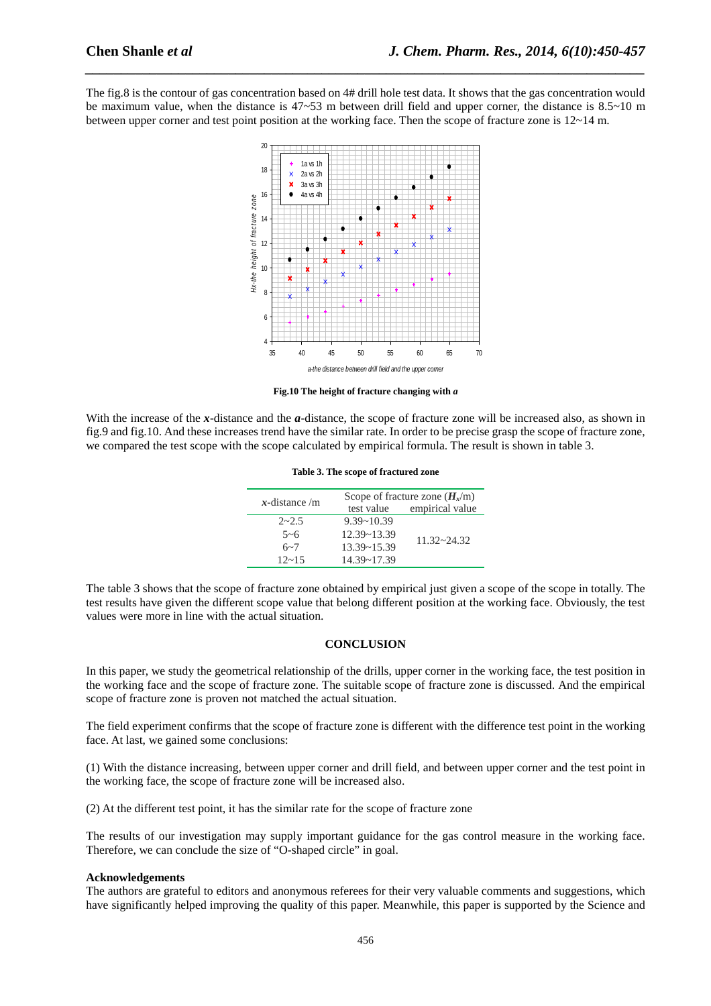The fig.8 is the contour of gas concentration based on 4# drill hole test data. It shows that the gas concentration would be maximum value, when the distance is  $47{\sim}53$  m between drill field and upper corner, the distance is  $8.5{\sim}10$  m between upper corner and test point position at the working face. Then the scope of fracture zone is 12~14 m.

*\_\_\_\_\_\_\_\_\_\_\_\_\_\_\_\_\_\_\_\_\_\_\_\_\_\_\_\_\_\_\_\_\_\_\_\_\_\_\_\_\_\_\_\_\_\_\_\_\_\_\_\_\_\_\_\_\_\_\_\_\_\_\_\_\_\_\_\_\_\_\_\_\_\_\_\_\_\_*



**Fig.10 The height of fracture changing with** *a*

With the increase of the *x*-distance and the *a*-distance, the scope of fracture zone will be increased also, as shown in fig.9 and fig.10. And these increases trend have the similar rate. In order to be precise grasp the scope of fracture zone, we compared the test scope with the scope calculated by empirical formula. The result is shown in table 3.

| $x$ -distance /m | Scope of fracture zone $(H_r/m)$ |                 |  |  |  |
|------------------|----------------------------------|-----------------|--|--|--|
|                  | test value                       | empirical value |  |  |  |
| $2 - 2.5$        | $9.39 - 10.39$                   |                 |  |  |  |
| $5 - 6$          | $12.39 - 13.39$                  |                 |  |  |  |
| $6 - 7$          | $13.39 - 15.39$                  | $11.32 - 24.32$ |  |  |  |
| $12 - 15$        | $14.39 - 17.39$                  |                 |  |  |  |

**Table 3. The scope of fractured zone** 

The table 3 shows that the scope of fracture zone obtained by empirical just given a scope of the scope in totally. The test results have given the different scope value that belong different position at the working face. Obviously, the test values were more in line with the actual situation.

## **CONCLUSION**

In this paper, we study the geometrical relationship of the drills, upper corner in the working face, the test position in the working face and the scope of fracture zone. The suitable scope of fracture zone is discussed. And the empirical scope of fracture zone is proven not matched the actual situation.

The field experiment confirms that the scope of fracture zone is different with the difference test point in the working face. At last, we gained some conclusions:

(1) With the distance increasing, between upper corner and drill field, and between upper corner and the test point in the working face, the scope of fracture zone will be increased also.

(2) At the different test point, it has the similar rate for the scope of fracture zone

The results of our investigation may supply important guidance for the gas control measure in the working face. Therefore, we can conclude the size of "O-shaped circle" in goal.

## **Acknowledgements**

The authors are grateful to editors and anonymous referees for their very valuable comments and suggestions, which have significantly helped improving the quality of this paper. Meanwhile, this paper is supported by the Science and